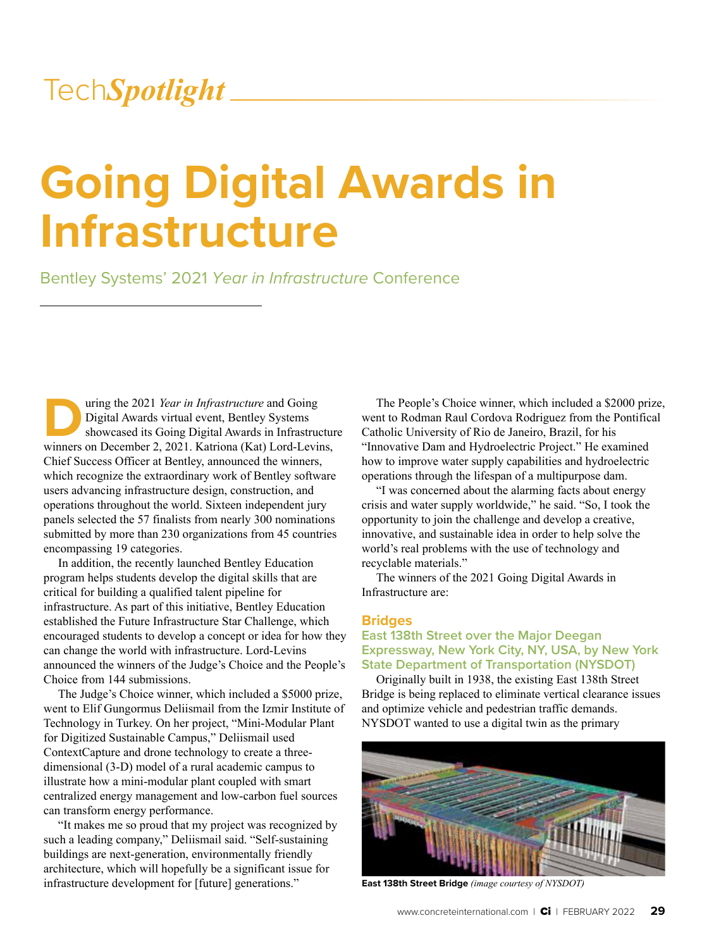# **Going Digital Awards in Infrastructure**

Bentley Systems' 2021 *Year in Infrastructure* Conference

Using the 2021 *Year in Infrastructure* and Going<br>Digital Awards virtual event, Bentley Systems<br>showcased its Going Digital Awards in Infrastructure<br>winners on December 2, 2021. Katriona (Kat) Lord-Levin Digital Awards virtual event, Bentley Systems showcased its Going Digital Awards in Infrastructure winners on December 2, 2021. Katriona (Kat) Lord-Levins, Chief Success Officer at Bentley, announced the winners, which recognize the extraordinary work of Bentley software users advancing infrastructure design, construction, and operations throughout the world. Sixteen independent jury panels selected the 57 finalists from nearly 300 nominations submitted by more than 230 organizations from 45 countries encompassing 19 categories.

In addition, the recently launched Bentley Education program helps students develop the digital skills that are critical for building a qualified talent pipeline for infrastructure. As part of this initiative, Bentley Education established the Future Infrastructure Star Challenge, which encouraged students to develop a concept or idea for how they can change the world with infrastructure. Lord-Levins announced the winners of the Judge's Choice and the People's Choice from 144 submissions.

The Judge's Choice winner, which included a \$5000 prize, went to Elif Gungormus Deliismail from the Izmir Institute of Technology in Turkey. On her project, "Mini-Modular Plant for Digitized Sustainable Campus," Deliismail used ContextCapture and drone technology to create a threedimensional (3-D) model of a rural academic campus to illustrate how a mini-modular plant coupled with smart centralized energy management and low-carbon fuel sources can transform energy performance.

"It makes me so proud that my project was recognized by such a leading company," Deliismail said. "Self-sustaining buildings are next-generation, environmentally friendly architecture, which will hopefully be a significant issue for infrastructure development for [future] generations."

The People's Choice winner, which included a \$2000 prize, went to Rodman Raul Cordova Rodriguez from the Pontifical Catholic University of Rio de Janeiro, Brazil, for his "Innovative Dam and Hydroelectric Project." He examined how to improve water supply capabilities and hydroelectric operations through the lifespan of a multipurpose dam.

"I was concerned about the alarming facts about energy crisis and water supply worldwide," he said. "So, I took the opportunity to join the challenge and develop a creative, innovative, and sustainable idea in order to help solve the world's real problems with the use of technology and recyclable materials."

The winners of the 2021 Going Digital Awards in Infrastructure are:

#### **Bridges**

#### **East 138th Street over the Major Deegan Expressway, New York City, NY, USA, by New York State Department of Transportation (NYSDOT)**

Originally built in 1938, the existing East 138th Street Bridge is being replaced to eliminate vertical clearance issues and optimize vehicle and pedestrian traffic demands. NYSDOT wanted to use a digital twin as the primary



**East 138th Street Bridge** *(image courtesy of NYSDOT)*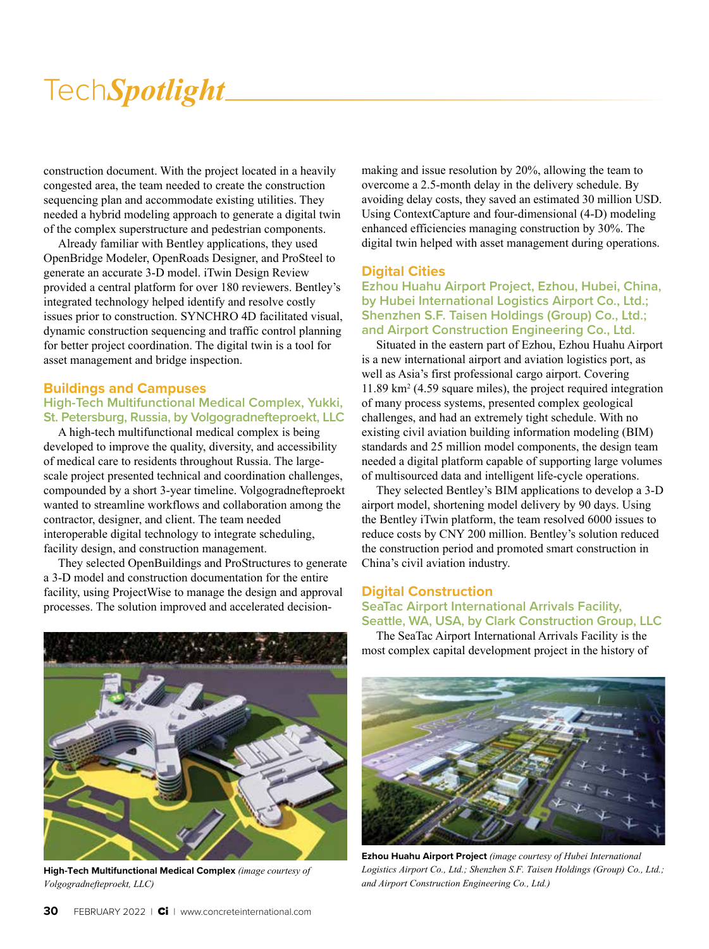construction document. With the project located in a heavily congested area, the team needed to create the construction sequencing plan and accommodate existing utilities. They needed a hybrid modeling approach to generate a digital twin of the complex superstructure and pedestrian components.

Already familiar with Bentley applications, they used OpenBridge Modeler, OpenRoads Designer, and ProSteel to generate an accurate 3-D model. iTwin Design Review provided a central platform for over 180 reviewers. Bentley's integrated technology helped identify and resolve costly issues prior to construction. SYNCHRO 4D facilitated visual, dynamic construction sequencing and traffic control planning for better project coordination. The digital twin is a tool for asset management and bridge inspection.

#### **Buildings and Campuses**

#### **High-Tech Multifunctional Medical Complex, Yukki, St. Petersburg, Russia, by Volgogradnefteproekt, LLC**

A high-tech multifunctional medical complex is being developed to improve the quality, diversity, and accessibility of medical care to residents throughout Russia. The largescale project presented technical and coordination challenges, compounded by a short 3-year timeline. Volgogradnefteproekt wanted to streamline workflows and collaboration among the contractor, designer, and client. The team needed interoperable digital technology to integrate scheduling, facility design, and construction management.

They selected OpenBuildings and ProStructures to generate a 3-D model and construction documentation for the entire facility, using ProjectWise to manage the design and approval processes. The solution improved and accelerated decision-



**High-Tech Multifunctional Medical Complex** *(image courtesy of Volgogradnefteproekt, LLC)*

making and issue resolution by 20%, allowing the team to overcome a 2.5-month delay in the delivery schedule. By avoiding delay costs, they saved an estimated 30 million USD. Using ContextCapture and four-dimensional (4-D) modeling enhanced efficiencies managing construction by 30%. The digital twin helped with asset management during operations.

#### **Digital Cities**

**Ezhou Huahu Airport Project, Ezhou, Hubei, China, by Hubei International Logistics Airport Co., Ltd.; Shenzhen S.F. Taisen Holdings (Group) Co., Ltd.; and Airport Construction Engineering Co., Ltd.** 

Situated in the eastern part of Ezhou, Ezhou Huahu Airport is a new international airport and aviation logistics port, as well as Asia's first professional cargo airport. Covering 11.89 km2 (4.59 square miles), the project required integration of many process systems, presented complex geological challenges, and had an extremely tight schedule. With no existing civil aviation building information modeling (BIM) standards and 25 million model components, the design team needed a digital platform capable of supporting large volumes of multisourced data and intelligent life-cycle operations.

They selected Bentley's BIM applications to develop a 3-D airport model, shortening model delivery by 90 days. Using the Bentley iTwin platform, the team resolved 6000 issues to reduce costs by CNY 200 million. Bentley's solution reduced the construction period and promoted smart construction in China's civil aviation industry.

#### **Digital Construction**

**SeaTac Airport International Arrivals Facility, Seattle, WA, USA, by Clark Construction Group, LLC**

The SeaTac Airport International Arrivals Facility is the most complex capital development project in the history of



**Ezhou Huahu Airport Project** *(image courtesy of Hubei International Logistics Airport Co., Ltd.; Shenzhen S.F. Taisen Holdings (Group) Co., Ltd.; and Airport Construction Engineering Co., Ltd.)*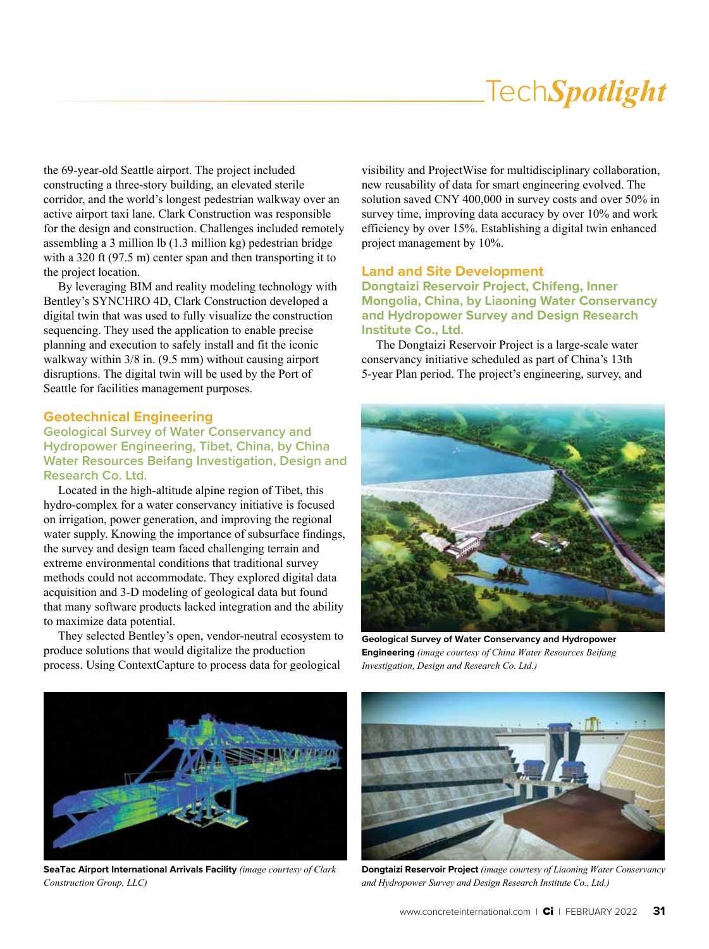the 69-year-old Seattle airport. The project included constructing a three-story building, an elevated sterile corridor, and the world's longest pedestrian walkway over an active airport taxi lane. Clark Construction was responsible for the design and construction. Challenges included remotely assembling a 3 million lb (1.3 million kg) pedestrian bridge with a 320 ft (97.5 m) center span and then transporting it to the project location.

By leveraging BIM and reality modeling technology with Bentley's SYNCHRO 4D, Clark Construction developed a digital twin that was used to fully visualize the construction sequencing. They used the application to enable precise planning and execution to safely install and fit the iconic walkway within  $3/8$  in. (9.5 mm) without causing airport disruptions. The digital twin will be used by the Port of Seattle for facilities management purposes.

#### **Geotechnical Engineering**

#### **Geological Survey of Water Conservancy and Hydropower Engineering, Tibet, China, by China Water Resources Beifang Investigation, Design and Research Co. Ltd.**

Located in the high-altitude alpine region of Tibet, this hydro-complex for a water conservancy initiative is focused on irrigation, power generation, and improving the regional water supply. Knowing the importance of subsurface findings, the survey and design team faced challenging terrain and extreme environmental conditions that traditional survey methods could not accommodate. They explored digital data acquisition and 3-D modeling of geological data but found that many software products lacked integration and the ability to maximize data potential.

They selected Bentley's open, vendor-neutral ecosystem to produce solutions that would digitalize the production process. Using ContextCapture to process data for geological

visibility and ProjectWise for multidisciplinary collaboration, new reusability of data for smart engineering evolved. The solution saved CNY 400,000 in survey costs and over 50% in survey time, improving data accuracy by over 10% and work efficiency by over 15%. Establishing a digital twin enhanced project management by 10%.

#### **Land and Site Development**

**Dongtaizi Reservoir Project, Chifeng, Inner Mongolia, China, by Liaoning Water Conservancy and Hydropower Survey and Design Research Institute Co., Ltd.**

The Dongtaizi Reservoir Project is a large-scale water conservancy initiative scheduled as part of China's 13th 5-year Plan period. The project's engineering, survey, and



**Geological Survey of Water Conservancy and Hydropower Engineering** *(image courtesy of China Water Resources Beifang Investigation, Design and Research Co. Ltd.)*



**SeaTac Airport International Arrivals Facility** *(image courtesy of Clark Construction Group, LLC)*



**Dongtaizi Reservoir Project** *(image courtesy of Liaoning Water Conservancy and Hydropower Survey and Design Research Institute Co., Ltd.)*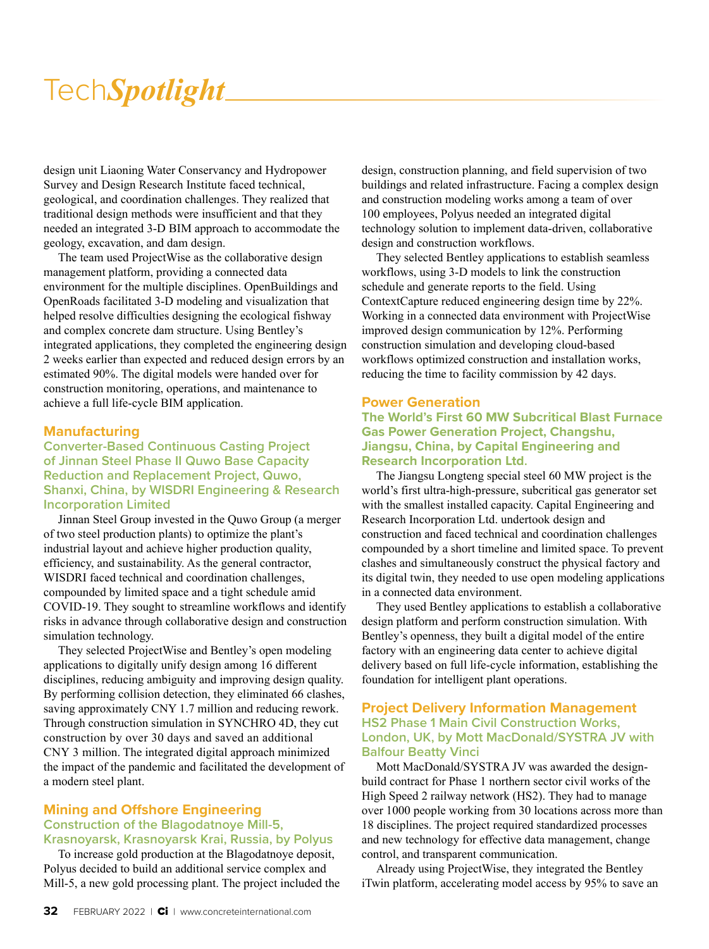design unit Liaoning Water Conservancy and Hydropower Survey and Design Research Institute faced technical, geological, and coordination challenges. They realized that traditional design methods were insufficient and that they needed an integrated 3-D BIM approach to accommodate the geology, excavation, and dam design.

The team used ProjectWise as the collaborative design management platform, providing a connected data environment for the multiple disciplines. OpenBuildings and OpenRoads facilitated 3-D modeling and visualization that helped resolve difficulties designing the ecological fishway and complex concrete dam structure. Using Bentley's integrated applications, they completed the engineering design 2 weeks earlier than expected and reduced design errors by an estimated 90%. The digital models were handed over for construction monitoring, operations, and maintenance to achieve a full life-cycle BIM application.

#### **Manufacturing**

#### **Converter-Based Continuous Casting Project of Jinnan Steel Phase II Quwo Base Capacity Reduction and Replacement Project, Quwo, Shanxi, China, by WISDRI Engineering & Research Incorporation Limited**

Jinnan Steel Group invested in the Quwo Group (a merger of two steel production plants) to optimize the plant's industrial layout and achieve higher production quality, efficiency, and sustainability. As the general contractor, WISDRI faced technical and coordination challenges, compounded by limited space and a tight schedule amid COVID-19. They sought to streamline workflows and identify risks in advance through collaborative design and construction simulation technology.

They selected ProjectWise and Bentley's open modeling applications to digitally unify design among 16 different disciplines, reducing ambiguity and improving design quality. By performing collision detection, they eliminated 66 clashes, saving approximately CNY 1.7 million and reducing rework. Through construction simulation in SYNCHRO 4D, they cut construction by over 30 days and saved an additional CNY 3 million. The integrated digital approach minimized the impact of the pandemic and facilitated the development of a modern steel plant.

#### **Mining and Offshore Engineering Construction of the Blagodatnoye Mill-5, Krasnoyarsk, Krasnoyarsk Krai, Russia, by Polyus**

To increase gold production at the Blagodatnoye deposit, Polyus decided to build an additional service complex and Mill-5, a new gold processing plant. The project included the design, construction planning, and field supervision of two buildings and related infrastructure. Facing a complex design and construction modeling works among a team of over 100 employees, Polyus needed an integrated digital technology solution to implement data-driven, collaborative design and construction workflows.

They selected Bentley applications to establish seamless workflows, using 3-D models to link the construction schedule and generate reports to the field. Using ContextCapture reduced engineering design time by 22%. Working in a connected data environment with ProjectWise improved design communication by 12%. Performing construction simulation and developing cloud-based workflows optimized construction and installation works, reducing the time to facility commission by 42 days.

#### **Power Generation**

#### **The World's First 60 MW Subcritical Blast Furnace Gas Power Generation Project, Changshu, Jiangsu, China, by Capital Engineering and Research Incorporation Ltd.**

The Jiangsu Longteng special steel 60 MW project is the world's first ultra-high-pressure, subcritical gas generator set with the smallest installed capacity. Capital Engineering and Research Incorporation Ltd. undertook design and construction and faced technical and coordination challenges compounded by a short timeline and limited space. To prevent clashes and simultaneously construct the physical factory and its digital twin, they needed to use open modeling applications in a connected data environment.

They used Bentley applications to establish a collaborative design platform and perform construction simulation. With Bentley's openness, they built a digital model of the entire factory with an engineering data center to achieve digital delivery based on full life-cycle information, establishing the foundation for intelligent plant operations.

#### **Project Delivery Information Management HS2 Phase 1 Main Civil Construction Works, London, UK, by Mott MacDonald/SYSTRA JV with Balfour Beatty Vinci**

Mott MacDonald/SYSTRA JV was awarded the designbuild contract for Phase 1 northern sector civil works of the High Speed 2 railway network (HS2). They had to manage over 1000 people working from 30 locations across more than 18 disciplines. The project required standardized processes and new technology for effective data management, change control, and transparent communication.

Already using ProjectWise, they integrated the Bentley iTwin platform, accelerating model access by 95% to save an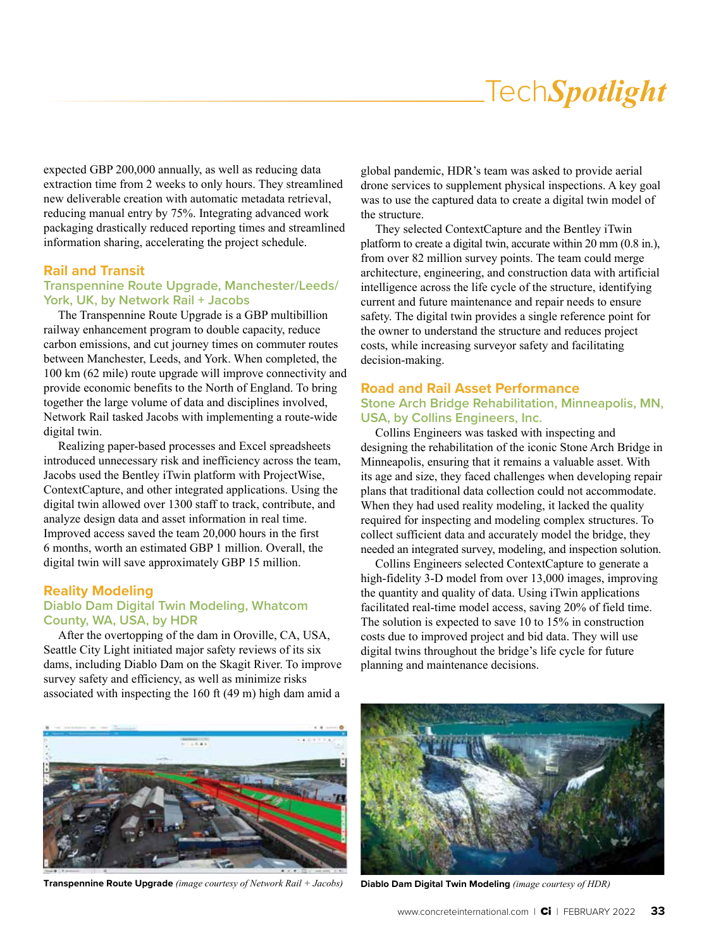expected GBP 200,000 annually, as well as reducing data extraction time from 2 weeks to only hours. They streamlined new deliverable creation with automatic metadata retrieval, reducing manual entry by 75%. Integrating advanced work packaging drastically reduced reporting times and streamlined information sharing, accelerating the project schedule.

#### **Rail and Transit**

#### **Transpennine Route Upgrade, Manchester/Leeds/ York, UK, by Network Rail + Jacobs**

The Transpennine Route Upgrade is a GBP multibillion railway enhancement program to double capacity, reduce carbon emissions, and cut journey times on commuter routes between Manchester, Leeds, and York. When completed, the 100 km (62 mile) route upgrade will improve connectivity and provide economic benefits to the North of England. To bring together the large volume of data and disciplines involved, Network Rail tasked Jacobs with implementing a route-wide digital twin.

Realizing paper-based processes and Excel spreadsheets introduced unnecessary risk and inefficiency across the team, Jacobs used the Bentley iTwin platform with ProjectWise, ContextCapture, and other integrated applications. Using the digital twin allowed over 1300 staff to track, contribute, and analyze design data and asset information in real time. Improved access saved the team 20,000 hours in the first 6 months, worth an estimated GBP 1 million. Overall, the digital twin will save approximately GBP 15 million.

#### **Reality Modeling**

#### **Diablo Dam Digital Twin Modeling, Whatcom County, WA, USA, by HDR**

After the overtopping of the dam in Oroville, CA, USA, Seattle City Light initiated major safety reviews of its six dams, including Diablo Dam on the Skagit River. To improve survey safety and efficiency, as well as minimize risks associated with inspecting the 160 ft (49 m) high dam amid a

global pandemic, HDR's team was asked to provide aerial drone services to supplement physical inspections. A key goal was to use the captured data to create a digital twin model of the structure.

They selected ContextCapture and the Bentley iTwin platform to create a digital twin, accurate within 20 mm (0.8 in.), from over 82 million survey points. The team could merge architecture, engineering, and construction data with artificial intelligence across the life cycle of the structure, identifying current and future maintenance and repair needs to ensure safety. The digital twin provides a single reference point for the owner to understand the structure and reduces project costs, while increasing surveyor safety and facilitating decision-making.

#### **Road and Rail Asset Performance**

#### **Stone Arch Bridge Rehabilitation, Minneapolis, MN, USA, by Collins Engineers, Inc.**

Collins Engineers was tasked with inspecting and designing the rehabilitation of the iconic Stone Arch Bridge in Minneapolis, ensuring that it remains a valuable asset. With its age and size, they faced challenges when developing repair plans that traditional data collection could not accommodate. When they had used reality modeling, it lacked the quality required for inspecting and modeling complex structures. To collect sufficient data and accurately model the bridge, they needed an integrated survey, modeling, and inspection solution.

Collins Engineers selected ContextCapture to generate a high-fidelity 3-D model from over 13,000 images, improving the quantity and quality of data. Using iTwin applications facilitated real-time model access, saving 20% of field time. The solution is expected to save 10 to 15% in construction costs due to improved project and bid data. They will use digital twins throughout the bridge's life cycle for future planning and maintenance decisions.



**Transpennine Route Upgrade** *(image courtesy of Network Rail + Jacobs)* **Diablo Dam Digital Twin Modeling** *(image courtesy of HDR)*

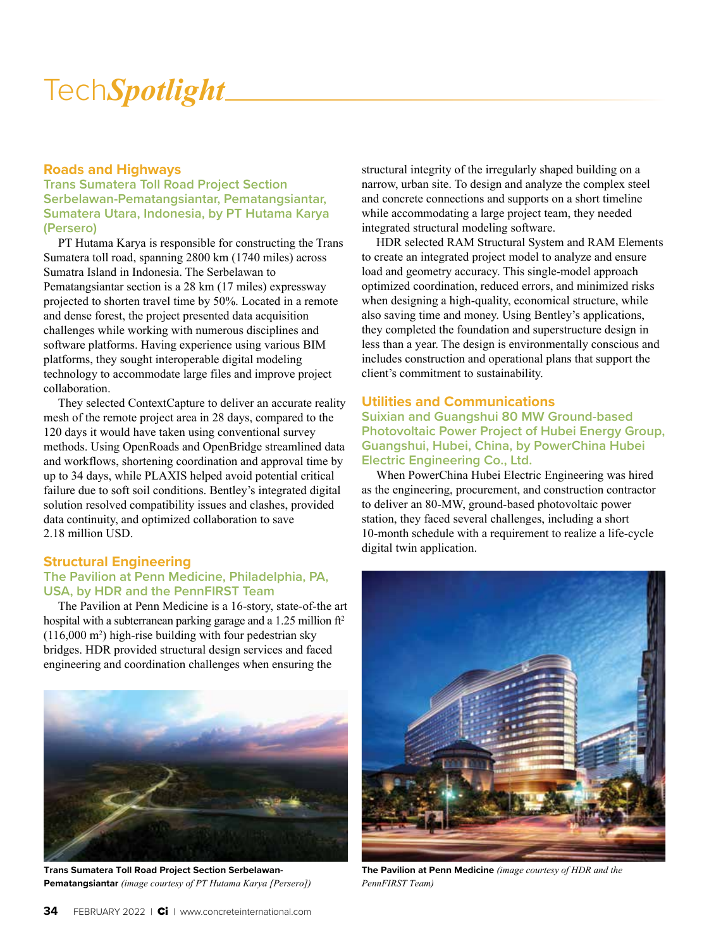#### **Roads and Highways**

**Trans Sumatera Toll Road Project Section Serbelawan-Pematangsiantar, Pematangsiantar, Sumatera Utara, Indonesia, by PT Hutama Karya (Persero)**

PT Hutama Karya is responsible for constructing the Trans Sumatera toll road, spanning 2800 km (1740 miles) across Sumatra Island in Indonesia. The Serbelawan to Pematangsiantar section is a 28 km (17 miles) expressway projected to shorten travel time by 50%. Located in a remote and dense forest, the project presented data acquisition challenges while working with numerous disciplines and software platforms. Having experience using various BIM platforms, they sought interoperable digital modeling technology to accommodate large files and improve project collaboration.

They selected ContextCapture to deliver an accurate reality mesh of the remote project area in 28 days, compared to the 120 days it would have taken using conventional survey methods. Using OpenRoads and OpenBridge streamlined data and workflows, shortening coordination and approval time by up to 34 days, while PLAXIS helped avoid potential critical failure due to soft soil conditions. Bentley's integrated digital solution resolved compatibility issues and clashes, provided data continuity, and optimized collaboration to save 2.18 million USD.

#### **Structural Engineering The Pavilion at Penn Medicine, Philadelphia, PA, USA, by HDR and the PennFIRST Team**

The Pavilion at Penn Medicine is a 16-story, state-of-the art hospital with a subterranean parking garage and a 1.25 million  $ft^2$  $(116,000 \text{ m}^2)$  high-rise building with four pedestrian sky bridges. HDR provided structural design services and faced engineering and coordination challenges when ensuring the



**Trans Sumatera Toll Road Project Section Serbelawan-Pematangsiantar** *(image courtesy of PT Hutama Karya [Persero])*

structural integrity of the irregularly shaped building on a narrow, urban site. To design and analyze the complex steel and concrete connections and supports on a short timeline while accommodating a large project team, they needed integrated structural modeling software.

HDR selected RAM Structural System and RAM Elements to create an integrated project model to analyze and ensure load and geometry accuracy. This single-model approach optimized coordination, reduced errors, and minimized risks when designing a high-quality, economical structure, while also saving time and money. Using Bentley's applications, they completed the foundation and superstructure design in less than a year. The design is environmentally conscious and includes construction and operational plans that support the client's commitment to sustainability.

#### **Utilities and Communications**

**Suixian and Guangshui 80 MW Ground-based Photovoltaic Power Project of Hubei Energy Group, Guangshui, Hubei, China, by PowerChina Hubei Electric Engineering Co., Ltd.**

When PowerChina Hubei Electric Engineering was hired as the engineering, procurement, and construction contractor to deliver an 80-MW, ground-based photovoltaic power station, they faced several challenges, including a short 10-month schedule with a requirement to realize a life-cycle digital twin application.



**The Pavilion at Penn Medicine** *(image courtesy of HDR and the PennFIRST Team)*